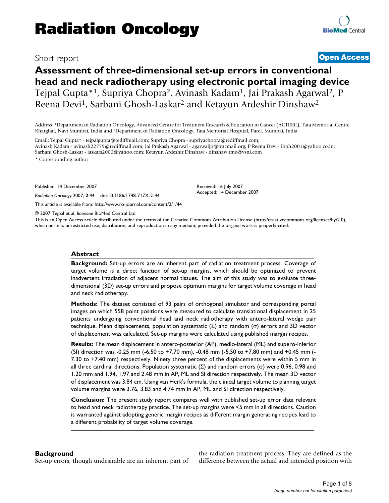# Short report **[Open Access](http://www.biomedcentral.com/info/about/charter/)**

# **Assessment of three-dimensional set-up errors in conventional head and neck radiotherapy using electronic portal imaging device** Tejpal Gupta\*1, Supriya Chopra2, Avinash Kadam1, Jai Prakash Agarwal2, P Reena Devi1, Sarbani Ghosh-Laskar2 and Ketayun Ardeshir Dinshaw2

Address: 1Department of Radiation Oncology, Advanced Centre for Treatment Research & Education in Cancer (ACTREC), Tata Memorial Centre, Kharghar, Navi Mumbai, India and 2Department of Radiation Oncology, Tata Memorial Hospital, Parel, Mumbai, India

Email: Tejpal Gupta\* - tejpalgupta@rediffmail.com; Supriya Chopra - supriyachopra@rediffmail.com; Avinash Kadam - avinash22779@rediffmail.com; Jai Prakash Agarwal - agarwaljp@tmcmail.org; P Reena Devi - ibph2001@yahoo.co.in; Sarbani Ghosh-Laskar - laskars2000@yahoo.com; Ketayun Ardeshir Dinshaw - dinshaw.tmc@vsnl.com \* Corresponding author

Published: 14 December 2007

*Radiation Oncology* 2007, **2**:44 doi:10.1186/1748-717X-2-44

[This article is available from: http://www.ro-journal.com/content/2/1/44](http://www.ro-journal.com/content/2/1/44)

© 2007 Tejpal et al; licensee BioMed Central Ltd.

This is an Open Access article distributed under the terms of the Creative Commons Attribution License [\(http://creativecommons.org/licenses/by/2.0\)](http://creativecommons.org/licenses/by/2.0), which permits unrestricted use, distribution, and reproduction in any medium, provided the original work is properly cited.

Received: 16 July 2007 Accepted: 14 December 2007

#### **Abstract**

**Background:** Set-up errors are an inherent part of radiation treatment process. Coverage of target volume is a direct function of set-up margins, which should be optimized to prevent inadvertent irradiation of adjacent normal tissues. The aim of this study was to evaluate threedimensional (3D) set-up errors and propose optimum margins for target volume coverage in head and neck radiotherapy.

**Methods:** The dataset consisted of 93 pairs of orthogonal simulator and corresponding portal images on which 558 point positions were measured to calculate translational displacement in 25 patients undergoing conventional head and neck radiotherapy with antero-lateral wedge pair technique. Mean displacements, population systematic (Σ) and random (σ) errors and 3D vector of displacement was calculated. Set-up margins were calculated using published margin recipes.

**Results:** The mean displacement in antero-posterior (AP), medio-lateral (ML) and supero-inferior (SI) direction was -0.25 mm (-6.50 to +7.70 mm), -0.48 mm (-5.50 to +7.80 mm) and +0.45 mm (- 7.30 to +7.40 mm) respectively. Ninety three percent of the displacements were within 5 mm in all three cardinal directions. Population systematic (Σ) and random errors (σ) were 0.96, 0.98 and 1.20 mm and 1.94, 1.97 and 2.48 mm in AP, ML and SI direction respectively. The mean 3D vector of displacement was 3.84 cm. Using van Herk's formula, the clinical target volume to planning target volume margins were 3.76, 3.83 and 4.74 mm in AP, ML and SI direction respectively.

**Conclusion:** The present study report compares well with published set-up error data relevant to head and neck radiotherapy practice. The set-up margins were <5 mm in all directions. Caution is warranted against adopting generic margin recipes as different margin generating recipes lead to a different probability of target volume coverage.

#### **Background**

Set-up errors, though undesirable are an inherent part of

the radiation treatment process. They are defined as the difference between the actual and intended position with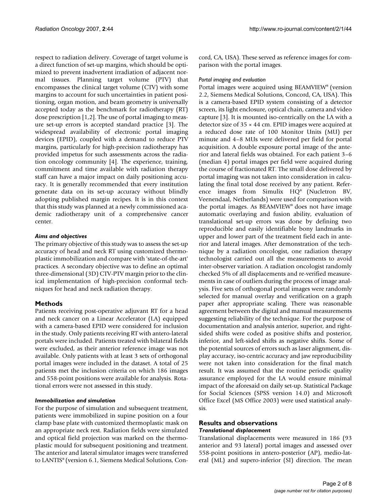respect to radiation delivery. Coverage of target volume is a direct function of set-up margins, which should be optimized to prevent inadvertent irradiation of adjacent normal tissues. Planning target volume (PTV) that encompasses the clinical target volume (CTV) with some margins to account for such uncertainties in patient positioning, organ motion, and beam geometry is universally accepted today as the benchmark for radiotherapy (RT) dose prescription [1,2]. The use of portal imaging to measure set-up errors is accepted standard practice [3]. The widespread availability of electronic portal imaging devices (EPID), coupled with a demand to reduce PTV margins, particularly for high-precision radiotherapy has provided impetus for such assessments across the radiation oncology community [4]. The experience, training, commitment and time available with radiation therapy staff can have a major impact on daily positioning accuracy. It is generally recommended that every institution generate data on its set-up accuracy without blindly adopting published margin recipes. It is in this context that this study was planned at a newly commissioned academic radiotherapy unit of a comprehensive cancer center.

#### *Aims and objectives*

The primary objective of this study was to assess the set-up accuracy of head and neck RT using customized thermoplastic immobilization and compare with 'state-of-the-art' practices. A secondary objective was to define an optimal three-dimensional (3D) CTV-PTV margin prior to the clinical implementation of high-precision conformal techniques for head and neck radiation therapy.

#### **Methods**

Patients receiving post-operative adjuvant RT for a head and neck cancer on a Linear Accelerator (LA) equipped with a camera-based EPID were considered for inclusion in the study. Only patients receiving RT with antero-lateral portals were included. Patients treated with bilateral fields were excluded, as their anterior reference image was not available. Only patients with at least 3 sets of orthogonal portal images were included in the dataset. A total of 25 patients met the inclusion criteria on which 186 images and 558-point positions were available for analysis. Rotational errors were not assessed in this study.

#### *Immobilization and simulation*

For the purpose of simulation and subsequent treatment, patients were immobilized in supine position on a four clamp base plate with customized thermoplastic mask on an appropriate neck rest. Radiation fields were simulated and optical field projection was marked on the thermoplastic mould for subsequent positioning and treatment. The anterior and lateral simulator images were transferred to LANTIS® (version 6.1, Siemens Medical Solutions, Concord, CA, USA). These served as reference images for comparison with the portal images.

#### *Portal imaging and evaluation*

Portal images were acquired using BEAMVIEW® (version 2.2, Siemens Medical Solutions, Concord, CA, USA). This is a camera-based EPID system consisting of a detector screen, its light enclosure, optical chain, camera and video capture [3]. It is mounted iso-centrically on the LA with a detector size of 35 × 44 cm. EPID images were acquired at a reduced dose rate of 100 Monitor Units (MU) per minute and 4–8 MUs were delivered per field for portal acquisition. A double exposure portal image of the anterior and lateral fields was obtained. For each patient 3–6 (median 4) portal images per field were acquired during the course of fractionated RT. The small dose delivered by portal imaging was not taken into consideration in calculating the final total dose received by any patient. Reference images from Simulix HQ® (Nucletron BV, Veenendaal, Netherlands) were used for comparison with the portal images. As BEAMVIEW® does not have image automatic overlaying and fusion ability, evaluation of translational set-up errors was done by defining two reproducible and easily identifiable bony landmarks in upper and lower part of the treatment field each in anterior and lateral images. After demonstration of the technique by a radiation oncologist, one radiation therapy technologist carried out all the measurements to avoid inter-observer variation. A radiation oncologist randomly checked 5% of all displacements and re-verified measurements in case of outliers during the process of image analysis. Five sets of orthogonal portal images were randomly selected for manual overlay and verification on a graph paper after appropriate scaling. There was reasonable agreement between the digital and manual measurements suggesting reliability of the technique. For the purpose of documentation and analysis anterior, superior, and rightsided shifts were coded as positive shifts and posterior, inferior, and left-sided shifts as negative shifts. Some of the potential sources of errors such as laser alignment, display accuracy, iso-centric accuracy and jaw reproducibility were not taken into consideration for the final match result. It was assumed that the routine periodic quality assurance employed for the LA would ensure minimal impact of the aforesaid on daily set-up. Statistical Package for Social Sciences (SPSS version 14.0) and Microsoft Office Excel (MS Office 2003) were used statistical analysis.

#### **Results and observations** *Translational displacement*

Translational displacements were measured in 186 (93 anterior and 93 lateral) portal images and assessed over 558-point positions in antero-posterior (AP), medio-lateral (ML) and supero-inferior (SI) direction. The mean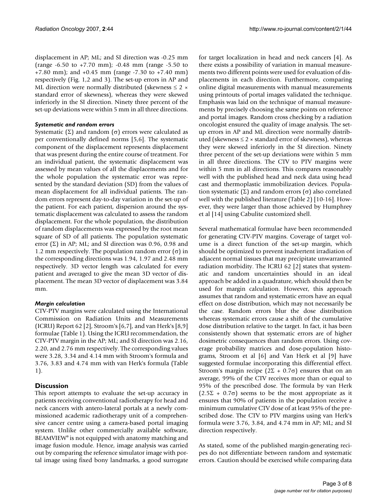displacement in AP; ML; and SI direction was -0.25 mm (range -6.50 to +7.70 mm); -0.48 mm (range -5.50 to +7.80 mm); and +0.45 mm (range -7.30 to +7.40 mm) respectively (Fig. 1,2 and 3). The set-up errors in AP and ML direction were normally distributed (skewness  $\leq 2 \times$ standard error of skewness), whereas they were skewed inferiorly in the SI direction. Ninety three percent of the set-up deviations were within 5 mm in all three directions.

#### *Systematic and random errors*

Systematic (Σ) and random ( $\sigma$ ) errors were calculated as per conventionally defined norms [5,6]. The systematic component of the displacement represents displacement that was present during the entire course of treatment. For an individual patient, the systematic displacement was assessed by mean values of all the displacements and for the whole population the systematic error was represented by the standard deviation (SD) from the values of mean displacement for all individual patients. The random errors represent day-to-day variation in the set-up of the patient. For each patient, dispersion around the systematic displacement was calculated to assess the random displacement. For the whole population, the distribution of random displacements was expressed by the root mean square of SD of all patients. The population systematic error  $(\Sigma)$  in AP; ML; and SI direction was 0.96, 0.98 and 1.2 mm respectively. The population random error (σ) in the corresponding directions was 1.94, 1.97 and 2.48 mm respectively. 3D vector length was calculated for every patient and averaged to give the mean 3D vector of displacement. The mean 3D vector of displacement was 3.84 mm.

#### *Margin calculation*

CTV-PTV margins were calculated using the International Commission on Radiation Units and Measurements (ICRU) Report 62 [2], Stroom's [6,7], and van Herk's [8,9] formulae (Table 1). Using the ICRU recommendation, the CTV-PTV margin in the AP; ML; and SI direction was 2.16, 2.20, and 2.76 mm respectively. The corresponding values were 3.28, 3.34 and 4.14 mm with Stroom's formula and 3.76, 3.83 and 4.74 mm with van Herk's formula (Table 1).

### **Discussion**

This report attempts to evaluate the set-up accuracy in patients receiving conventional radiotherapy for head and neck cancers with antero-lateral portals at a newly commissioned academic radiotherapy unit of a comprehensive cancer centre using a camera-based portal imaging system. Unlike other commercially available software, BEAMVIEW® is not equipped with anatomy matching and image fusion module. Hence, image analysis was carried out by comparing the reference simulator image with portal image using fixed bony landmarks, a good surrogate for target localization in head and neck cancers [4]. As there exists a possibility of variation in manual measurements two different points were used for evaluation of displacements in each direction. Furthermore, comparing online digital measurements with manual measurements using printouts of portal images validated the technique. Emphasis was laid on the technique of manual measurements by precisely choosing the same points on reference and portal images. Random cross checking by a radiation oncologist ensured the quality of image analysis. The setup errors in AP and ML direction were normally distributed (skewness  $\leq 2 \times$  standard error of skewness), whereas they were skewed inferiorly in the SI direction. Ninety three percent of the set-up deviations were within 5 mm in all three directions. The CTV to PTV margins were within 5 mm in all directions. This compares reasonably well with the published head and neck data using head cast and thermoplastic immobilization devices. Population systematic (Σ) and random errors ( $\sigma$ ) also correlated well with the published literature (Table 2) [10-16]. However, they were larger than those achieved by Humphrey et al [14] using Cabulite customized shell.

Several mathematical formulae have been recommended for generating CTV-PTV margins. Coverage of target volume is a direct function of the set-up margin, which should be optimized to prevent inadvertent irradiation of adjacent normal tissues that may precipitate unwarranted radiation morbidity. The ICRU 62 [2] states that systematic and random uncertainties should in an ideal approach be added in a quadrature, which should then be used for margin calculation. However, this approach assumes that random and systematic errors have an equal effect on dose distribution, which may not necessarily be the case. Random errors blur the dose distribution whereas systematic errors cause a shift of the cumulative dose distribution relative to the target. In fact, it has been consistently shown that systematic errors are of higher dosimetric consequences than random errors. Using coverage probability matrices and dose-population histograms, Stroom et al [6] and Van Herk et al [9] have suggested formulae incorporating this differential effect. Stroom's margin recipe ( $2\Sigma + 0.7\sigma$ ) ensures that on an average, 99% of the CTV receives more than or equal to 95% of the prescribed dose. The formula by van Herk  $(2.5\Sigma + 0.7\sigma)$  seems to be the most appropriate as it ensures that 90% of patients in the population receive a minimum cumulative CTV dose of at least 95% of the prescribed dose. The CTV to PTV margins using van Herk's formula were 3.76, 3.84, and 4.74 mm in AP; ML; and SI direction respectively.

As stated, some of the published margin-generating recipes do not differentiate between random and systematic errors. Caution should be exercised while comparing data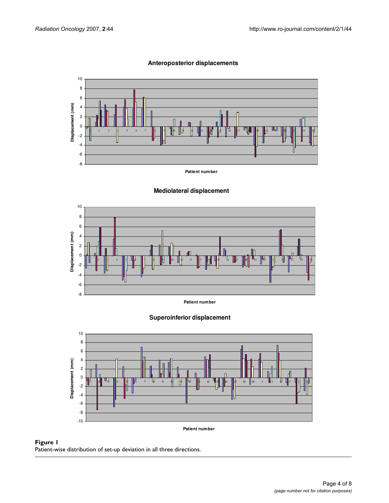

#### **Anteroposterior displacements**

# **Patient number**











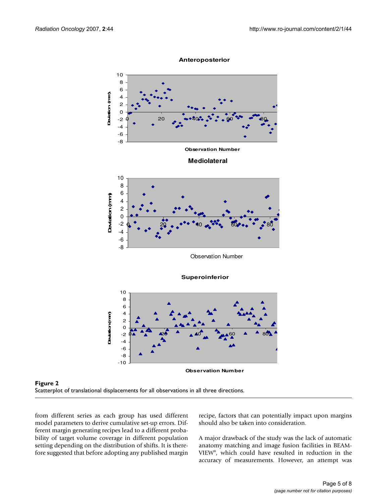

**Superoinferior**





from different series as each group has used different model parameters to derive cumulative set-up errors. Different margin generating recipes lead to a different probability of target volume coverage in different population setting depending on the distribution of shifts. It is therefore suggested that before adopting any published margin recipe, factors that can potentially impact upon margins should also be taken into consideration.

A major drawback of the study was the lack of automatic anatomy matching and image fusion facilities in BEAM-VIEW®, which could have resulted in reduction in the accuracy of measurements. However, an attempt was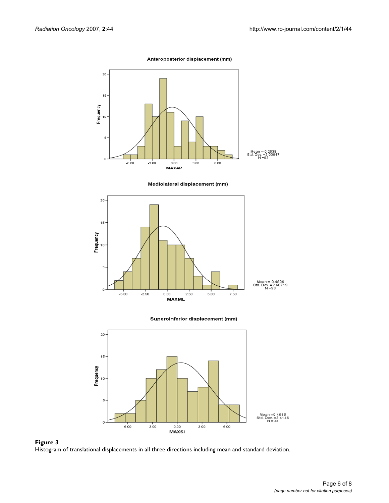Anteroposterior displacement (mm)



Mediolateral displacement (mm)



Superoinferior displacement (mm)



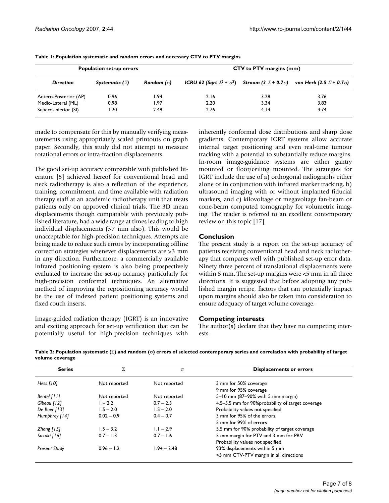| <b>Population set-up errors</b> |                         |                     | <b>CTV</b> to PTV margins (mm) |      |                                                                                                                     |  |
|---------------------------------|-------------------------|---------------------|--------------------------------|------|---------------------------------------------------------------------------------------------------------------------|--|
| <b>Direction</b>                | Systematic ( $\Sigma$ ) | Random ( $\sigma$ ) |                                |      | ICRU 62 (Sqrt $\Sigma^2$ + $\sigma^2$ ) Stroom (2 $\Sigma$ + 0.7 $\sigma$ ) van Herk (2.5 $\Sigma$ + 0.7 $\sigma$ ) |  |
| Antero-Posterior (AP)           | 0.96                    | l.94                | 2.16                           | 3.28 | 3.76                                                                                                                |  |
| Medio-Lateral (ML)              | 0.98                    | 1.97                | 2.20                           | 3.34 | 3.83                                                                                                                |  |
| Supero-Inferior (SI)            | 20. ا                   | 2.48                | 2.76                           | 4.14 | 4.74                                                                                                                |  |

**Table 1: Population systematic and random errors and necessary CTV to PTV margins**

made to compensate for this by manually verifying measurements using appropriately scaled printouts on graph paper. Secondly, this study did not attempt to measure rotational errors or intra-fraction displacements.

The good set-up accuracy comparable with published literature [5] achieved hereof for conventional head and neck radiotherapy is also a reflection of the experience, training, commitment, and time available with radiation therapy staff at an academic radiotherapy unit that treats patients only on approved clinical trials. The 3D mean displacements though comparable with previously published literature, had a wide range at times leading to high individual displacements (>7 mm also). This would be unacceptable for high-precision techniques. Attempts are being made to reduce such errors by incorporating offline correction strategies whenever displacements are >3 mm in any direction. Furthermore, a commercially available infrared positioning system is also being prospectively evaluated to increase the set-up accuracy particularly for high-precision conformal techniques. An alternative method of improving the repositioning accuracy would be the use of indexed patient positioning systems and fixed couch inserts.

Image-guided radiation therapy (IGRT) is an innovative and exciting approach for set-up verification that can be potentially useful for high-precision techniques with inherently conformal dose distributions and sharp dose gradients. Contemporary IGRT systems allow accurate internal target positioning and even real-time tumour tracking with a potential to substantially reduce margins. In-room image-guidance systems are either gantry mounted or floor/ceiling mounted. The strategies for IGRT include the use of a) orthogonal radiographs either alone or in conjunction with infrared marker tracking, b) ultrasound imaging with or without implanted fiducial markers, and c) kilovoltage or megavoltage fan-beam or cone-beam computed tomography for volumetric imaging. The reader is referred to an excellent contemporary review on this topic [17].

### **Conclusion**

The present study is a report on the set-up accuracy of patients receiving conventional head and neck radiotherapy that compares well with published set-up error data. Ninety three percent of translational displacements were within 5 mm. The set-up margins were <5 mm in all three directions. It is suggested that before adopting any published margin recipe, factors that can potentially impact upon margins should also be taken into consideration to ensure adequacy of target volume coverage.

#### **Competing interests**

The author(s) declare that they have no competing interests.

| Table 2: Population systematic ( $\Sigma$ ) and random ( $\sigma$ ) errors of selected contemporary series and correlation with probability of target |  |
|-------------------------------------------------------------------------------------------------------------------------------------------------------|--|
| volume coverage                                                                                                                                       |  |

| <b>Series</b>        | Σ            | $\sigma$      | <b>Displacements or errors</b>                    |
|----------------------|--------------|---------------|---------------------------------------------------|
| Hess $[10]$          | Not reported | Not reported  | 3 mm for 50% coverage                             |
|                      |              |               | 9 mm for 95% coverage                             |
| Bentel [11]          | Not reported | Not reported  | 5-10 mm (87-90% with 5 mm margin)                 |
| Gibeau [12]          | $1 - 2.2$    | $0.7 - 2.3$   | 4.5-5.5 mm for 90% probability of target coverage |
| De Boer [13]         | $1.5 - 2.0$  | $1.5 - 2.0$   | Probability values not specified                  |
| Humphrey [14]        | $0.02 - 0.9$ | $0.4 - 0.7$   | 3 mm for 95% of the errors.                       |
|                      |              |               | 5 mm for 99% of errors                            |
| Zhang $[15]$         | $1.5 - 3.2$  | $1.1 - 2.9$   | 5.5 mm for 90% probability of target coverage     |
| Suzuki [16]          | $0.7 - 1.3$  | $0.7 - 1.6$   | 5 mm margin for PTV and 3 mm for PRV              |
|                      |              |               | Probability values not specified                  |
| <b>Present Study</b> | $0.96 - 1.2$ | $1.94 - 2.48$ | 93% displacements within 5 mm                     |
|                      |              |               | <5 mm CTV-PTV margin in all directions            |